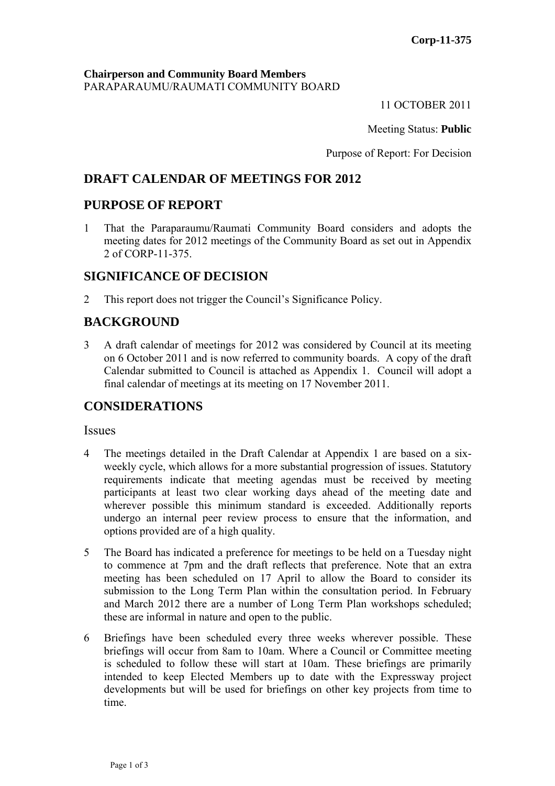### **Chairperson and Community Board Members** PARAPARAUMU/RAUMATI COMMUNITY BOARD

11 OCTOBER 2011

Meeting Status: **Public**

Purpose of Report: For Decision

# **DRAFT CALENDAR OF MEETINGS FOR 2012**

# **PURPOSE OF REPORT**

1 That the Paraparaumu/Raumati Community Board considers and adopts the meeting dates for 2012 meetings of the Community Board as set out in Appendix 2 of CORP-11-375.

# **SIGNIFICANCE OF DECISION**

2 This report does not trigger the Council's Significance Policy.

# **BACKGROUND**

3 A draft calendar of meetings for 2012 was considered by Council at its meeting on 6 October 2011 and is now referred to community boards. A copy of the draft Calendar submitted to Council is attached as Appendix 1. Council will adopt a final calendar of meetings at its meeting on 17 November 2011.

# **CONSIDERATIONS**

#### **Issues**

- 4 The meetings detailed in the Draft Calendar at Appendix 1 are based on a sixweekly cycle, which allows for a more substantial progression of issues. Statutory requirements indicate that meeting agendas must be received by meeting participants at least two clear working days ahead of the meeting date and wherever possible this minimum standard is exceeded. Additionally reports undergo an internal peer review process to ensure that the information, and options provided are of a high quality.
- 5 The Board has indicated a preference for meetings to be held on a Tuesday night to commence at 7pm and the draft reflects that preference. Note that an extra meeting has been scheduled on 17 April to allow the Board to consider its submission to the Long Term Plan within the consultation period. In February and March 2012 there are a number of Long Term Plan workshops scheduled; these are informal in nature and open to the public.
- 6 Briefings have been scheduled every three weeks wherever possible. These briefings will occur from 8am to 10am. Where a Council or Committee meeting is scheduled to follow these will start at 10am. These briefings are primarily intended to keep Elected Members up to date with the Expressway project developments but will be used for briefings on other key projects from time to time.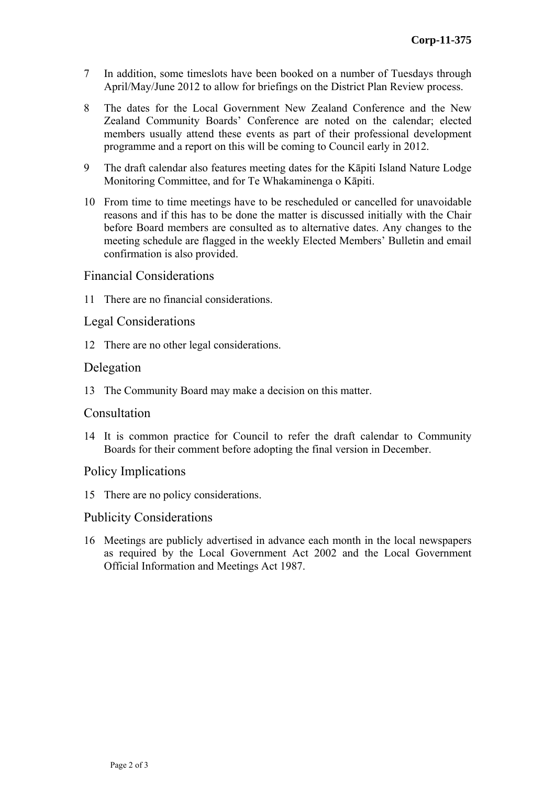- 7 In addition, some timeslots have been booked on a number of Tuesdays through April/May/June 2012 to allow for briefings on the District Plan Review process.
- 8 The dates for the Local Government New Zealand Conference and the New Zealand Community Boards' Conference are noted on the calendar; elected members usually attend these events as part of their professional development programme and a report on this will be coming to Council early in 2012.
- 9 The draft calendar also features meeting dates for the Kāpiti Island Nature Lodge Monitoring Committee, and for Te Whakaminenga o Kāpiti.
- 10 From time to time meetings have to be rescheduled or cancelled for unavoidable reasons and if this has to be done the matter is discussed initially with the Chair before Board members are consulted as to alternative dates. Any changes to the meeting schedule are flagged in the weekly Elected Members' Bulletin and email confirmation is also provided.

## Financial Considerations

11 There are no financial considerations.

### Legal Considerations

12 There are no other legal considerations.

### Delegation

13 The Community Board may make a decision on this matter.

#### **Consultation**

14 It is common practice for Council to refer the draft calendar to Community Boards for their comment before adopting the final version in December.

## Policy Implications

15 There are no policy considerations.

## Publicity Considerations

16 Meetings are publicly advertised in advance each month in the local newspapers as required by the Local Government Act 2002 and the Local Government Official Information and Meetings Act 1987.